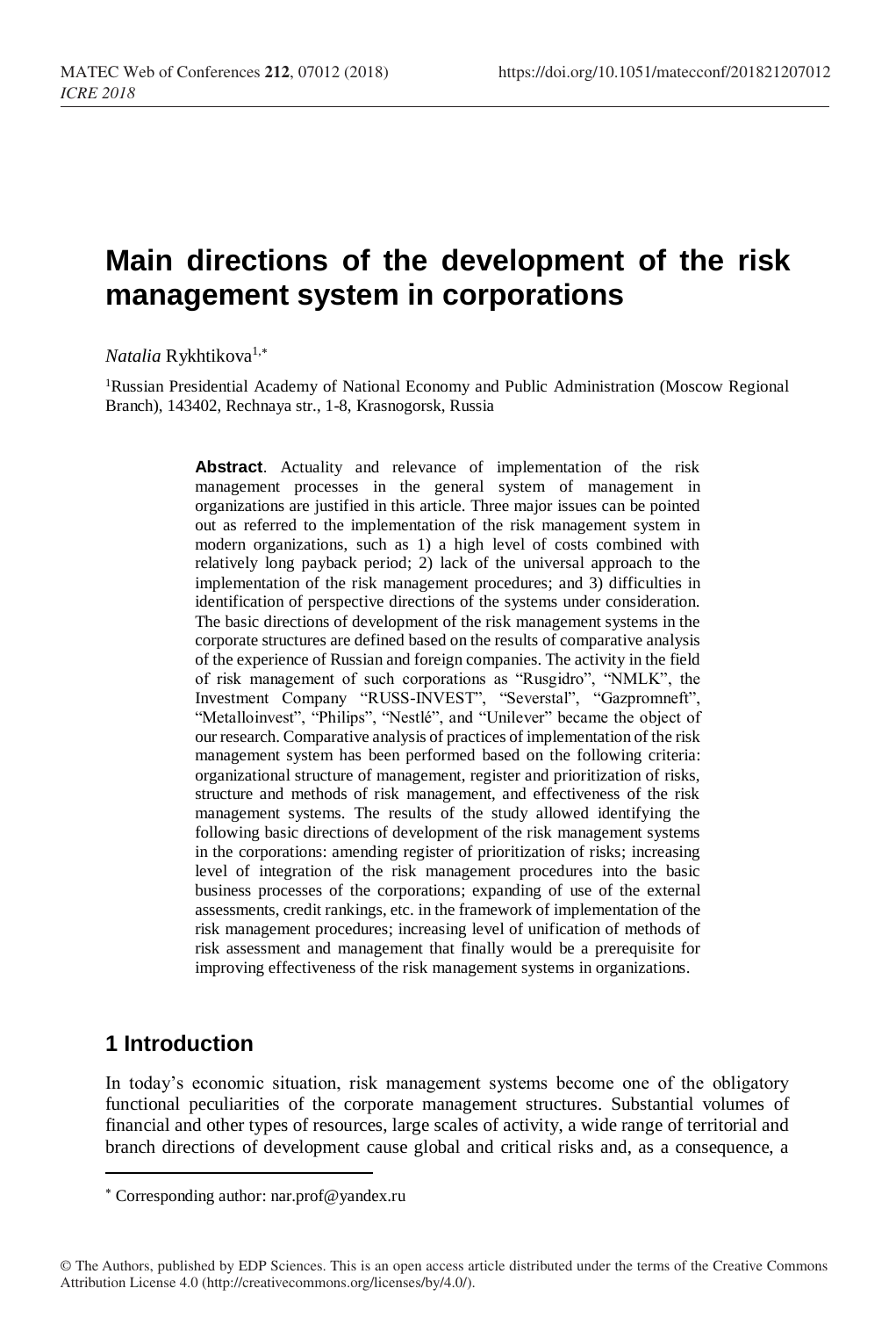# **Main directions of the development of the risk management system in corporations**

*Natalia* Rykhtikova<sup>1,\*</sup>

<sup>1</sup>Russian Presidential Academy of National Economy and Public Administration (Moscow Regional Branch), 143402, Rechnaya str., 1-8, Krasnogorsk, Russia

> **Abstract**. Actuality and relevance of implementation of the risk management processes in the general system of management in organizations are justified in this article. Three major issues can be pointed out as referred to the implementation of the risk management system in modern organizations, such as 1) a high level of costs combined with relatively long payback period; 2) lack of the universal approach to the implementation of the risk management procedures; and 3) difficulties in identification of perspective directions of the systems under consideration. The basic directions of development of the risk management systems in the corporate structures are defined based on the results of comparative analysis of the experience of Russian and foreign companies. The activity in the field of risk management of such corporations as "Rusgidro", "NMLK", the Investment Company "RUSS-INVEST", "Severstal", "Gazpromneft", "Metalloinvest", "Philips", "Nestlé", and "Unilever" became the object of our research. Comparative analysis of practices of implementation of the risk management system has been performed based on the following criteria: organizational structure of management, register and prioritization of risks, structure and methods of risk management, and effectiveness of the risk management systems. The results of the study allowed identifying the following basic directions of development of the risk management systems in the corporations: amending register of prioritization of risks; increasing level of integration of the risk management procedures into the basic business processes of the corporations; expanding of use of the external assessments, credit rankings, etc. in the framework of implementation of the risk management procedures; increasing level of unification of methods of risk assessment and management that finally would be a prerequisite for improving effectiveness of the risk management systems in organizations.

# **1 Introduction**

 $\overline{a}$ 

In today's economic situation, risk management systems become one of the obligatory functional peculiarities of the corporate management structures. Substantial volumes of financial and other types of resources, large scales of activity, a wide range of territorial and branch directions of development cause global and critical risks and, as a consequence, a

Corresponding author: nar.prof@yandex.ru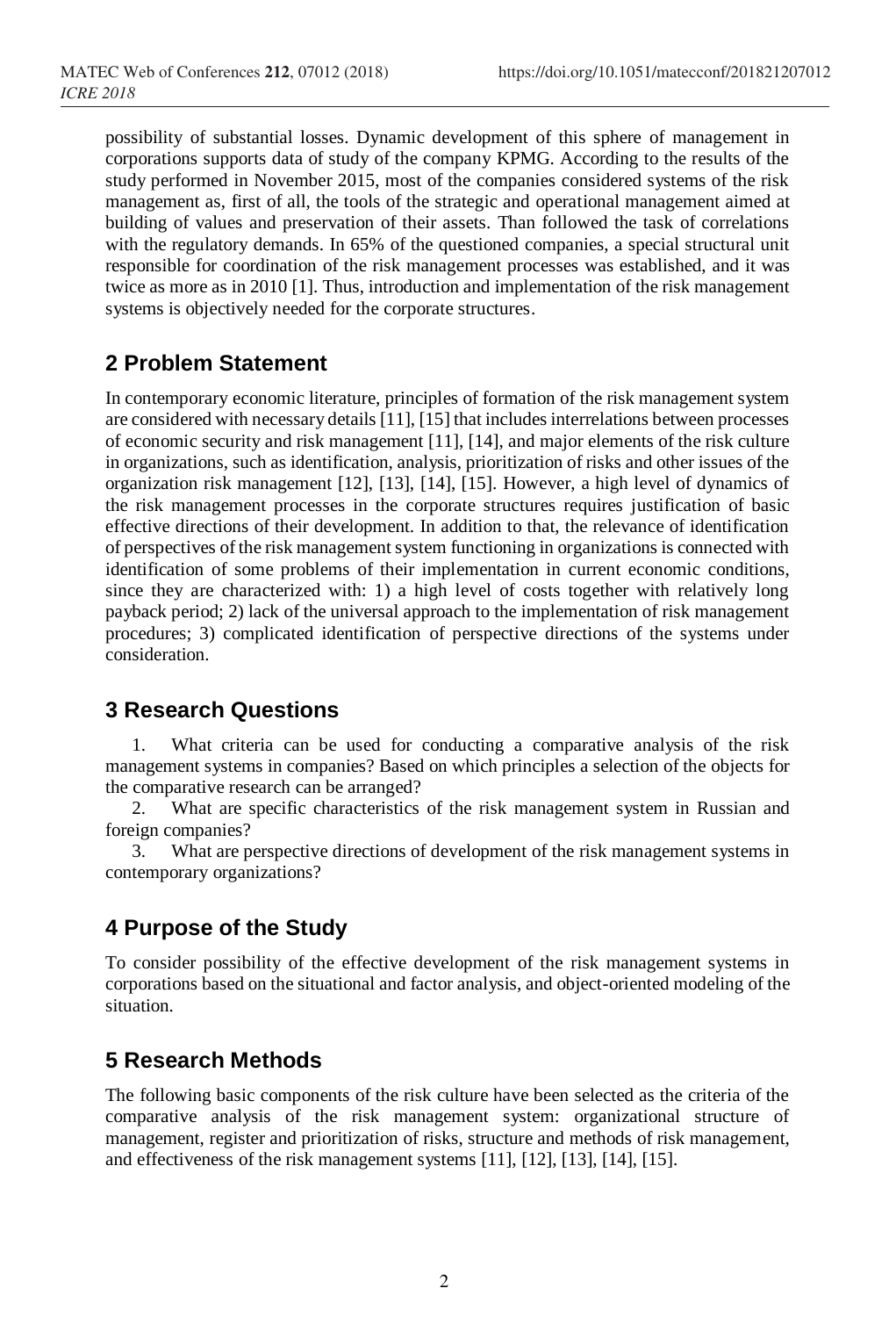possibility of substantial losses. Dynamic development of this sphere of management in corporations supports data of study of the company KPMG. According to the results of the study performed in November 2015, most of the companies considered systems of the risk management as, first of all, the tools of the strategic and operational management aimed at building of values and preservation of their assets. Than followed the task of correlations with the regulatory demands. In 65% of the questioned companies, a special structural unit responsible for coordination of the risk management processes was established, and it was twice as more as in 2010 [1]. Thus, introduction and implementation of the risk management systems is objectively needed for the corporate structures.

## **2 Problem Statement**

In contemporary economic literature, principles of formation of the risk management system are considered with necessary details [11], [15] that includes interrelations between processes of economic security and risk management [11], [14], and major elements of the risk culture in organizations, such as identification, analysis, prioritization of risks and other issues of the organization risk management [12], [13], [14], [15]. However, a high level of dynamics of the risk management processes in the corporate structures requires justification of basic effective directions of their development. In addition to that, the relevance of identification of perspectives of the risk management system functioning in organizations is connected with identification of some problems of their implementation in current economic conditions, since they are characterized with: 1) a high level of costs together with relatively long payback period; 2) lack of the universal approach to the implementation of risk management procedures; 3) complicated identification of perspective directions of the systems under consideration.

#### **3 Research Questions**

1. What criteria can be used for conducting a comparative analysis of the risk management systems in companies? Based on which principles a selection of the objects for the comparative research can be arranged?

2. What are specific characteristics of the risk management system in Russian and foreign companies?

3. What are perspective directions of development of the risk management systems in contemporary organizations?

# **4 Purpose of the Study**

To consider possibility of the effective development of the risk management systems in corporations based on the situational and factor analysis, and object-oriented modeling of the situation.

# **5 Research Methods**

The following basic components of the risk culture have been selected as the criteria of the comparative analysis of the risk management system: organizational structure of management, register and prioritization of risks, structure and methods of risk management, and effectiveness of the risk management systems [11], [12], [13], [14], [15].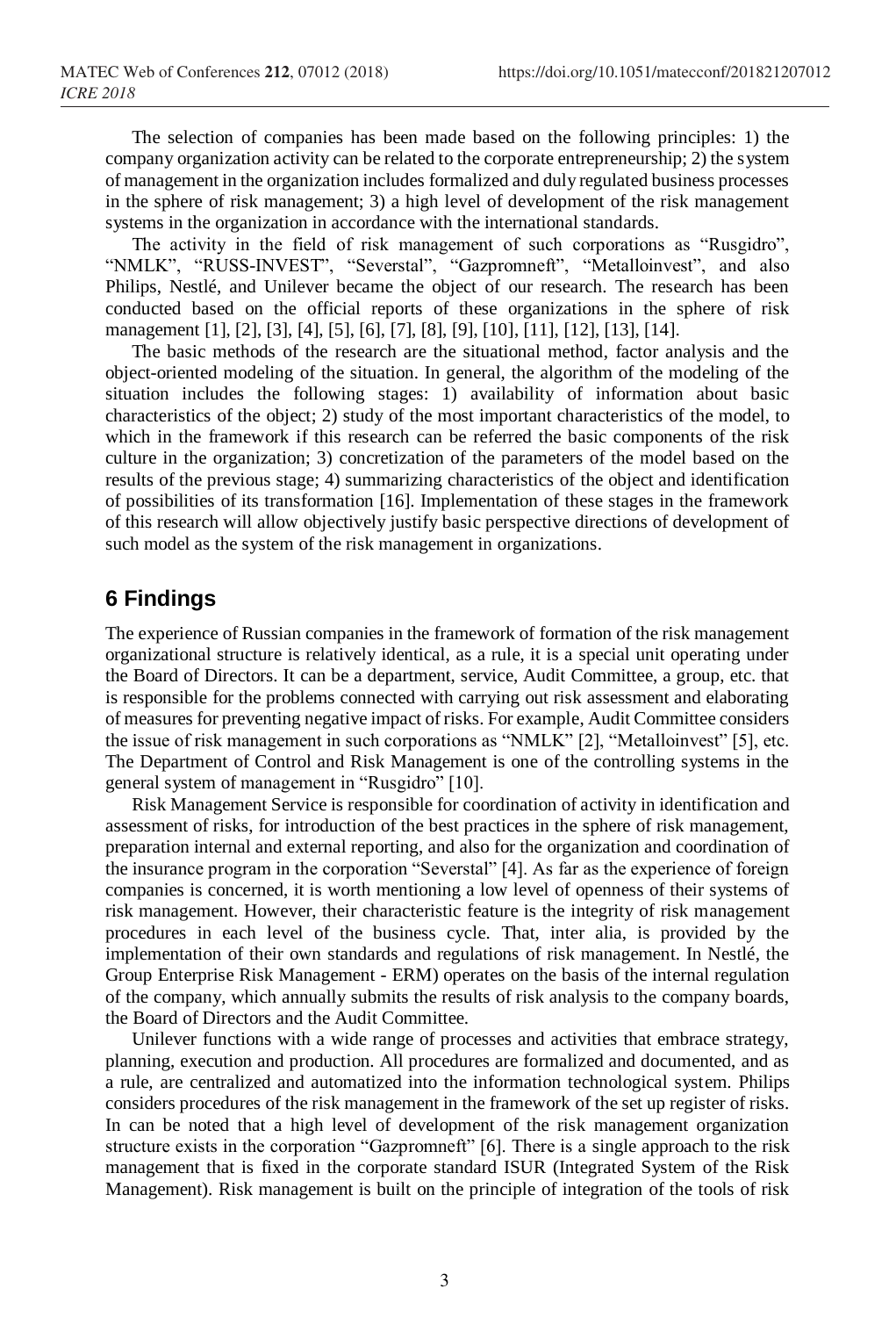The selection of companies has been made based on the following principles: 1) the company organization activity can be related to the corporate entrepreneurship; 2) the system of management in the organization includes formalized and duly regulated business processes in the sphere of risk management; 3) a high level of development of the risk management systems in the organization in accordance with the international standards.

The activity in the field of risk management of such corporations as "Rusgidro", "NMLK", "RUSS-INVEST", "Severstal", "Gazpromneft", "Metalloinvest", and also Philips, Nestlé, and Unilever became the object of our research. The research has been conducted based on the official reports of these organizations in the sphere of risk management [1], [2], [3], [4], [5], [6], [7], [8], [9], [10], [11], [12], [13], [14].

The basic methods of the research are the situational method, factor analysis and the object-oriented modeling of the situation. In general, the algorithm of the modeling of the situation includes the following stages: 1) availability of information about basic characteristics of the object; 2) study of the most important characteristics of the model, to which in the framework if this research can be referred the basic components of the risk culture in the organization; 3) concretization of the parameters of the model based on the results of the previous stage; 4) summarizing characteristics of the object and identification of possibilities of its transformation [16]. Implementation of these stages in the framework of this research will allow objectively justify basic perspective directions of development of such model as the system of the risk management in organizations.

#### **6 Findings**

The experience of Russian companies in the framework of formation of the risk management organizational structure is relatively identical, as a rule, it is a special unit operating under the Board of Directors. It can be a department, service, Audit Committee, a group, etc. that is responsible for the problems connected with carrying out risk assessment and elaborating of measures for preventing negative impact of risks. For example, Audit Committee considers the issue of risk management in such corporations as "NMLK" [2], "Metalloinvest" [5], etc. The Department of Control and Risk Management is one of the controlling systems in the general system of management in "Rusgidro" [10].

Risk Management Service is responsible for coordination of activity in identification and assessment of risks, for introduction of the best practices in the sphere of risk management, preparation internal and external reporting, and also for the organization and coordination of the insurance program in the corporation "Severstal" [4]. As far as the experience of foreign companies is concerned, it is worth mentioning a low level of openness of their systems of risk management. However, their characteristic feature is the integrity of risk management procedures in each level of the business cycle. That, inter alia, is provided by the implementation of their own standards and regulations of risk management. In Nestlé, the Group Enterprise Risk Management - ERM) operates on the basis of the internal regulation of the company, which annually submits the results of risk analysis to the company boards, the Board of Directors and the Audit Committee.

Unilever functions with a wide range of processes and activities that embrace strategy, planning, execution and production. All procedures are formalized and documented, and as a rule, are centralized and automatized into the information technological system. Philips considers procedures of the risk management in the framework of the set up register of risks. In can be noted that a high level of development of the risk management organization structure exists in the corporation "Gazpromneft" [6]. There is a single approach to the risk management that is fixed in the corporate standard ISUR (Integrated System of the Risk Management). Risk management is built on the principle of integration of the tools of risk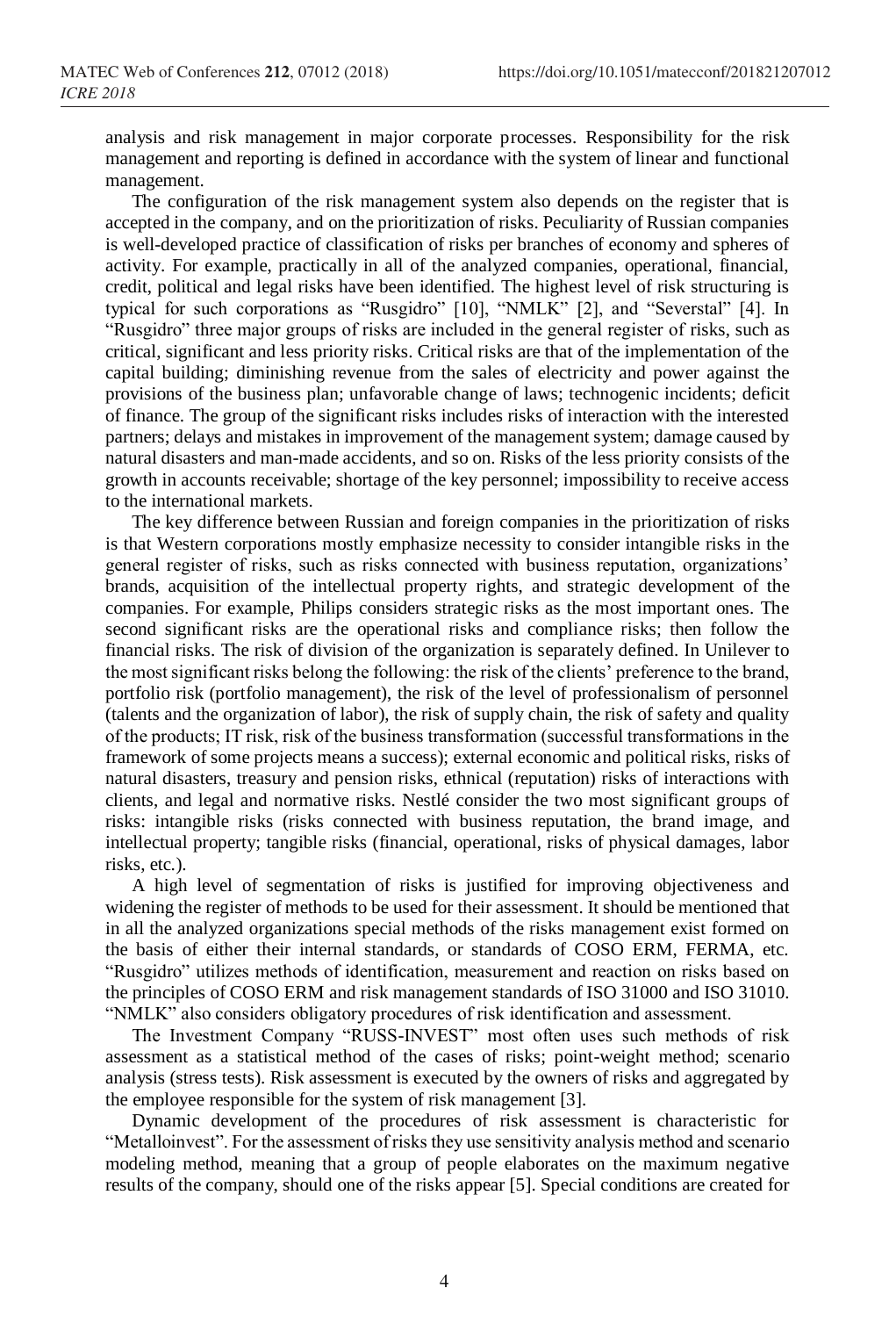analysis and risk management in major corporate processes. Responsibility for the risk management and reporting is defined in accordance with the system of linear and functional management.

The configuration of the risk management system also depends on the register that is accepted in the company, and on the prioritization of risks. Peculiarity of Russian companies is well-developed practice of classification of risks per branches of economy and spheres of activity. For example, practically in all of the analyzed companies, operational, financial, credit, political and legal risks have been identified. The highest level of risk structuring is typical for such corporations as "Rusgidro" [10], "NMLK" [2], and "Severstal" [4]. In "Rusgidro" three major groups of risks are included in the general register of risks, such as critical, significant and less priority risks. Critical risks are that of the implementation of the capital building; diminishing revenue from the sales of electricity and power against the provisions of the business plan; unfavorable change of laws; technogenic incidents; deficit of finance. The group of the significant risks includes risks of interaction with the interested partners; delays and mistakes in improvement of the management system; damage caused by natural disasters and man-made accidents, and so on. Risks of the less priority consists of the growth in accounts receivable; shortage of the key personnel; impossibility to receive access to the international markets.

The key difference between Russian and foreign companies in the prioritization of risks is that Western corporations mostly emphasize necessity to consider intangible risks in the general register of risks, such as risks connected with business reputation, organizations' brands, acquisition of the intellectual property rights, and strategic development of the companies. For example, Philips considers strategic risks as the most important ones. The second significant risks are the operational risks and compliance risks; then follow the financial risks. The risk of division of the organization is separately defined. In Unilever to the most significant risks belong the following: the risk of the clients' preference to the brand, portfolio risk (portfolio management), the risk of the level of professionalism of personnel (talents and the organization of labor), the risk of supply chain, the risk of safety and quality of the products; IТ risk, risk of the business transformation (successful transformations in the framework of some projects means a success); external economic and political risks, risks of natural disasters, treasury and pension risks, ethnical (reputation) risks of interactions with clients, and legal and normative risks. Nestlé consider the two most significant groups of risks: intangible risks (risks connected with business reputation, the brand image, and intellectual property; tangible risks (financial, operational, risks of physical damages, labor risks, etc.).

A high level of segmentation of risks is justified for improving objectiveness and widening the register of methods to be used for their assessment. It should be mentioned that in all the analyzed organizations special methods of the risks management exist formed on the basis of either their internal standards, or standards of COSO ERM, FERMA, etc. "Rusgidro" utilizes methods of identification, measurement and reaction on risks based on the principles of COSO ERM and risk management standards of ISO 31000 and ISO 31010. "NMLK" also considers obligatory procedures of risk identification and assessment.

The Investment Company "RUSS-INVEST" most often uses such methods of risk assessment as a statistical method of the cases of risks; point-weight method; scenario analysis (stress tests). Risk assessment is executed by the owners of risks and aggregated by the employee responsible for the system of risk management [3].

Dynamic development of the procedures of risk assessment is characteristic for "Metalloinvest". For the assessment of risks they use sensitivity analysis method and scenario modeling method, meaning that a group of people elaborates on the maximum negative results of the company, should one of the risks appear [5]. Special conditions are created for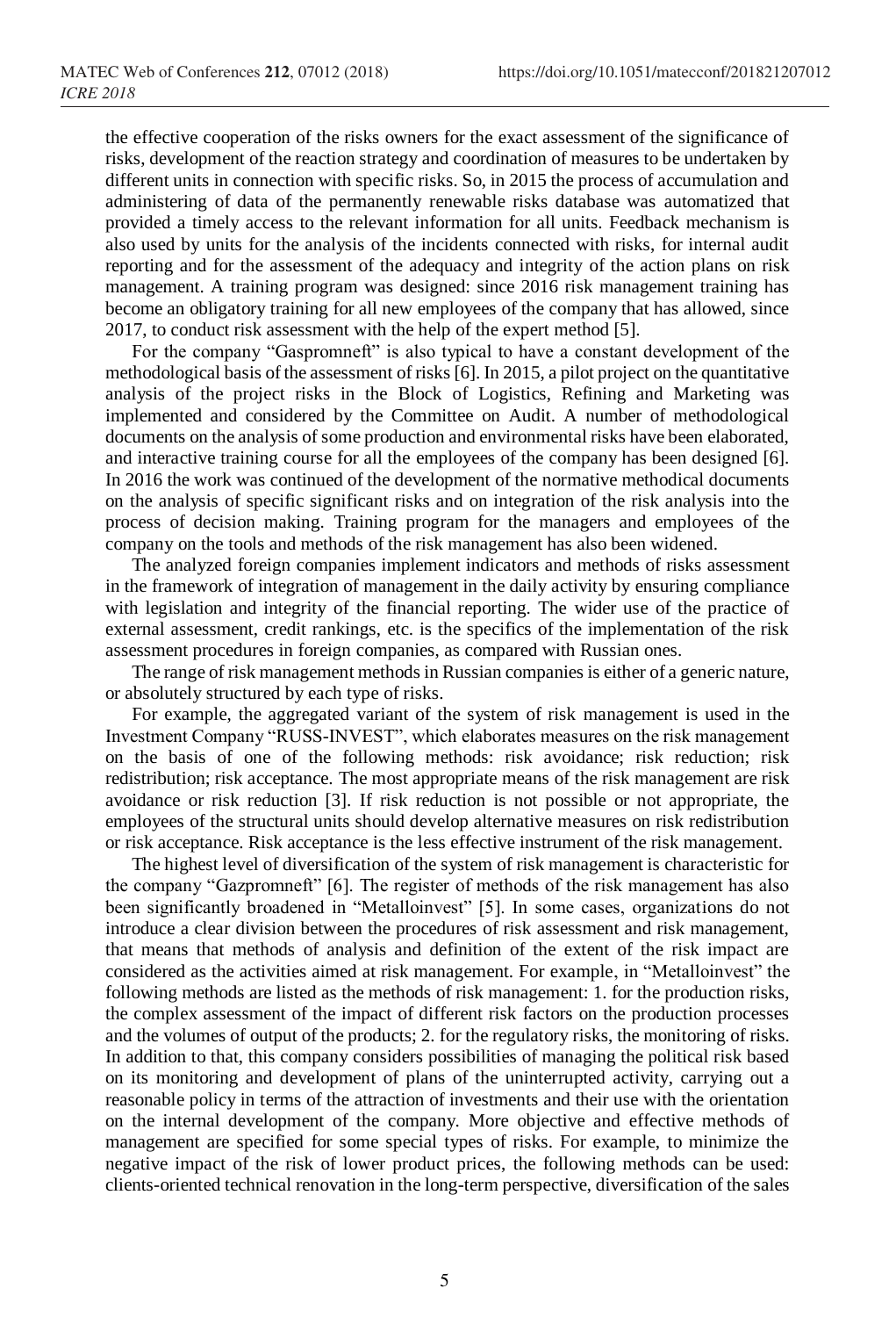the effective cooperation of the risks owners for the exact assessment of the significance of risks, development of the reaction strategy and coordination of measures to be undertaken by different units in connection with specific risks. So, in 2015 the process of accumulation and administering of data of the permanently renewable risks database was automatized that provided a timely access to the relevant information for all units. Feedback mechanism is also used by units for the analysis of the incidents connected with risks, for internal audit reporting and for the assessment of the adequacy and integrity of the action plans on risk management. A training program was designed: since 2016 risk management training has become an obligatory training for all new employees of the company that has allowed, since 2017, to conduct risk assessment with the help of the expert method [5].

For the company "Gaspromneft" is also typical to have a constant development of the methodological basis of the assessment of risks [6]. In 2015, a pilot project on the quantitative analysis of the project risks in the Block of Logistics, Refining and Marketing was implemented and considered by the Committee on Audit. A number of methodological documents on the analysis of some production and environmental risks have been elaborated, and interactive training course for all the employees of the company has been designed [6]. In 2016 the work was continued of the development of the normative methodical documents on the analysis of specific significant risks and on integration of the risk analysis into the process of decision making. Training program for the managers and employees of the company on the tools and methods of the risk management has also been widened.

The analyzed foreign companies implement indicators and methods of risks assessment in the framework of integration of management in the daily activity by ensuring compliance with legislation and integrity of the financial reporting. The wider use of the practice of external assessment, credit rankings, etc. is the specifics of the implementation of the risk assessment procedures in foreign companies, as compared with Russian ones.

The range of risk management methods in Russian companies is either of a generic nature, or absolutely structured by each type of risks.

For example, the aggregated variant of the system of risk management is used in the Investment Company "RUSS-INVEST", which elaborates measures on the risk management on the basis of one of the following methods: risk avoidance; risk reduction; risk redistribution; risk acceptance. The most appropriate means of the risk management are risk avoidance or risk reduction [3]. If risk reduction is not possible or not appropriate, the employees of the structural units should develop alternative measures on risk redistribution or risk acceptance. Risk acceptance is the less effective instrument of the risk management.

The highest level of diversification of the system of risk management is characteristic for the company "Gazpromneft" [6]. The register of methods of the risk management has also been significantly broadened in "Metalloinvest" [5]. In some cases, organizations do not introduce a clear division between the procedures of risk assessment and risk management, that means that methods of analysis and definition of the extent of the risk impact are considered as the activities aimed at risk management. For example, in "Metalloinvest" the following methods are listed as the methods of risk management: 1. for the production risks, the complex assessment of the impact of different risk factors on the production processes and the volumes of output of the products; 2. for the regulatory risks, the monitoring of risks. In addition to that, this company considers possibilities of managing the political risk based on its monitoring and development of plans of the uninterrupted activity, carrying out a reasonable policy in terms of the attraction of investments and their use with the orientation on the internal development of the company. More objective and effective methods of management are specified for some special types of risks. For example, to minimize the negative impact of the risk of lower product prices, the following methods can be used: clients-oriented technical renovation in the long-term perspective, diversification of the sales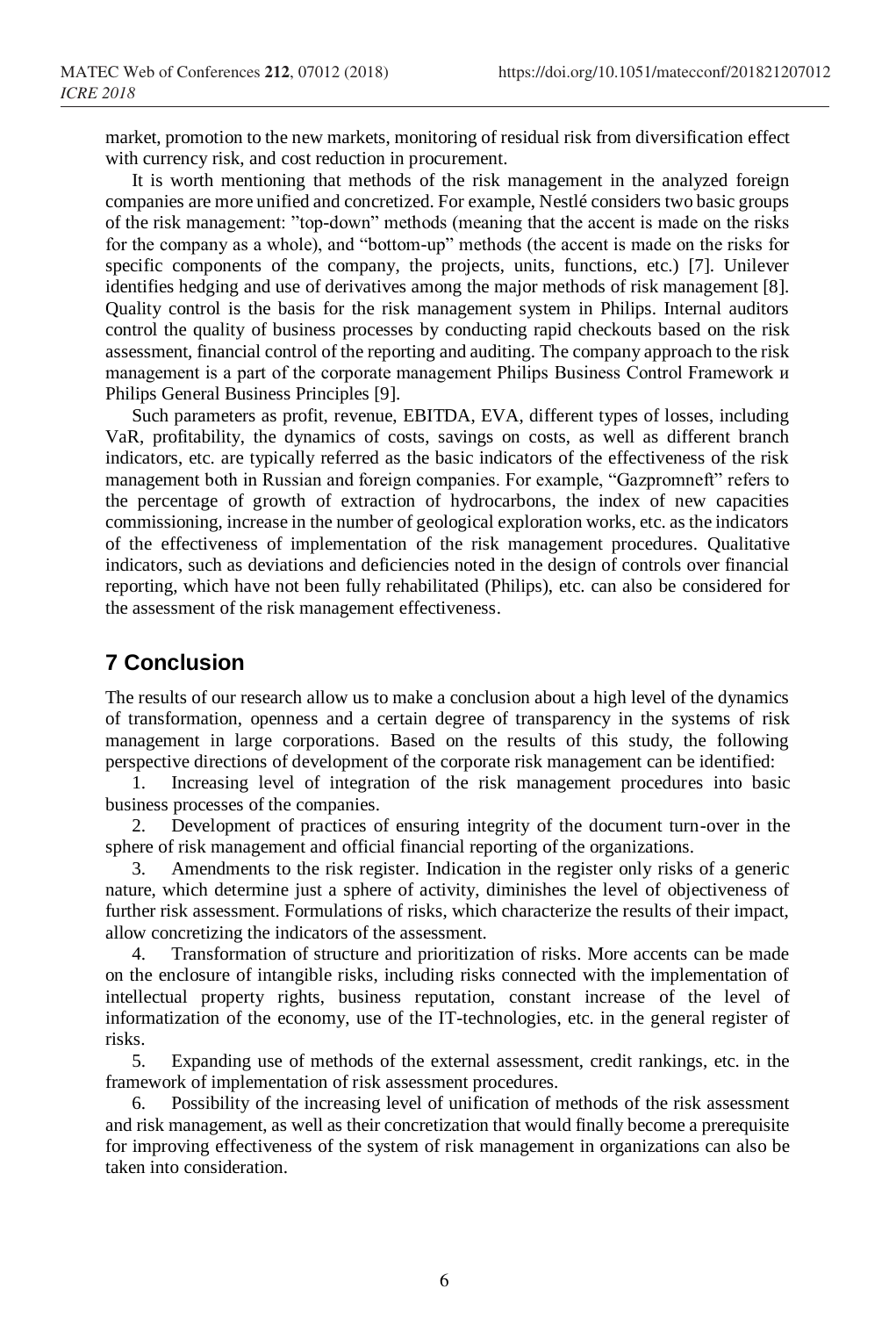market, promotion to the new markets, monitoring of residual risk from diversification effect with currency risk, and cost reduction in procurement.

It is worth mentioning that methods of the risk management in the analyzed foreign companies are more unified and concretized. For example, Nestlé considers two basic groups of the risk management: "top-down" methods (meaning that the accent is made on the risks for the company as a whole), and "bottom-up" methods (the accent is made on the risks for specific components of the company, the projects, units, functions, etc.) [7]. Unilever identifies hedging and use of derivatives among the major methods of risk management [8]. Quality control is the basis for the risk management system in Philips. Internal auditors control the quality of business processes by conducting rapid checkouts based on the risk assessment, financial control of the reporting and auditing. The company approach to the risk management is a part of the corporate management Philips Business Control Framework и Philips General Business Principles [9].

Such parameters as profit, revenue, EBITDA, EVA, different types of losses, including VaR, profitability, the dynamics of costs, savings on costs, as well as different branch indicators, etc. are typically referred as the basic indicators of the effectiveness of the risk management both in Russian and foreign companies. For example, "Gazpromneft" refers to the percentage of growth of extraction of hydrocarbons, the index of new capacities commissioning, increase in the number of geological exploration works, etc. as the indicators of the effectiveness of implementation of the risk management procedures. Qualitative indicators, such as deviations and deficiencies noted in the design of controls over financial reporting, which have not been fully rehabilitated (Philips), etc. can also be considered for the assessment of the risk management effectiveness.

#### **7 Conclusion**

The results of our research allow us to make a conclusion about a high level of the dynamics of transformation, openness and a certain degree of transparency in the systems of risk management in large corporations. Based on the results of this study, the following perspective directions of development of the corporate risk management can be identified:

1. Increasing level of integration of the risk management procedures into basic business processes of the companies.

2. Development of practices of ensuring integrity of the document turn-over in the sphere of risk management and official financial reporting of the organizations.

3. Amendments to the risk register. Indication in the register only risks of a generic nature, which determine just a sphere of activity, diminishes the level of objectiveness of further risk assessment. Formulations of risks, which characterize the results of their impact, allow concretizing the indicators of the assessment.

4. Transformation of structure and prioritization of risks. More accents can be made on the enclosure of intangible risks, including risks connected with the implementation of intellectual property rights, business reputation, constant increase of the level of informatization of the economy, use of the IT-technologies, etc. in the general register of risks.

5. Expanding use of methods of the external assessment, credit rankings, etc. in the framework of implementation of risk assessment procedures.

Possibility of the increasing level of unification of methods of the risk assessment and risk management, as well as their concretization that would finally become a prerequisite for improving effectiveness of the system of risk management in organizations can also be taken into consideration.